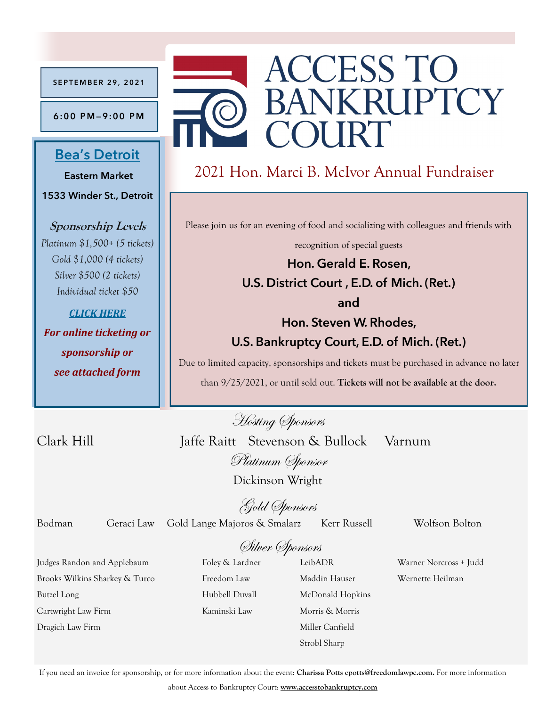**S E P T E M B E R 2 9 , 2 0 2 1**

**6 :0 0 P M—9:00 P M**

## **Bea'[s Detroit](https://www.google.com/maps/dir/42.3693138,-82.9318629/BEA)**

**Eastern Market 1533 Winder St., Detroit**

**Sponsorship Levels** *Platinum \$1,500+ (5 tickets) Gold \$1,000 (4 tickets) Silver \$500 (2 tickets) Individual ticket \$50*

*[CLICK HERE](https://www.eventbrite.com/e/165900174889) For online ticketing or* 

*sponsorship or see attached form*

# **ACCESS TO BANKRUPTCY** COURT

# 2021 Hon. Marci B. McIvor Annual Fundraiser

Please join us for an evening of food and socializing with colleagues and friends with

recognition of special guests

**Hon. Gerald E. Rosen, U.S. District Court , E.D. of Mich. (Ret.)**

**and**

## **Hon. Steven W. Rhodes, U.S. Bankruptcy Court, E.D. of Mich. (Ret.)**

Due to limited capacity, sponsorships and tickets must be purchased in advance no later than 9/25/2021, or until sold out. **Tickets will not be available at the door.** 

Hosting Sponsors

Clark Hill Jaffe Raitt Stevenson & Bullock Varnum

Dickinson Wright

Platinum Sponsor

Gold Sponsors

Bodman Geraci Law Gold Lange Majoros & Smalarz Kerr Russell Wolfson Bolton

# Silver Sponsors

Judges Randon and Applebaum Foley & Lardner LeibADR Warner Norcross + Judd Brooks Wilkins Sharkey & Turco Freedom Law Maddin Hauser Wernette Heilman Butzel Long **Hubbell Duvall McDonald Hopkins** Cartwright Law Firm Kaminski Law Morris & Morris Dragich Law Firm Miller Canfield

Strobl Sharp

If you need an invoice for sponsorship, or for more information about the event: **Charissa Potts cpotts@freedomlawpc.com.** For more information